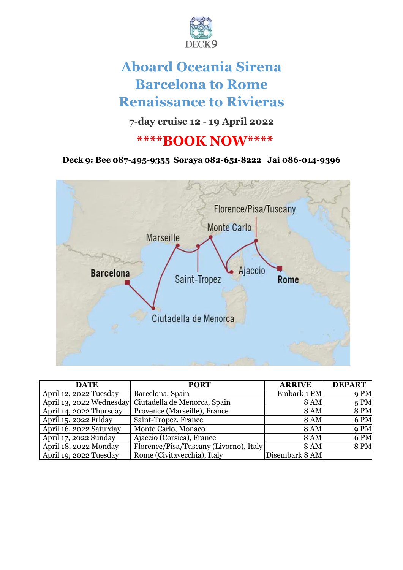

# **Aboard Oceania Sirena Barcelona to Rome Renaissance to Rivieras**

**7-day cruise 12 - 19 April 2022**

# **\*\*\*\*BOOK NOW\*\*\*\***

**Deck 9: Bee 087-495-9355 Soraya 082-651-8222 Jai 086-014-9396**



| <b>DATE</b>             | <b>PORT</b>                                           | <b>ARRIVE</b>  | <b>DEPART</b> |
|-------------------------|-------------------------------------------------------|----------------|---------------|
| April 12, 2022 Tuesday  | Barcelona, Spain                                      | Embark 1 PM    | 9 PM          |
|                         | April 13, 2022 Wednesday Ciutadella de Menorca, Spain | <b>8 AM</b>    | 5PM           |
| April 14, 2022 Thursday | Provence (Marseille), France                          | <b>8 AM</b>    | <b>8 PM</b>   |
| April 15, 2022 Friday   | Saint-Tropez, France                                  | <b>8 AM</b>    | 6 PM          |
| April 16, 2022 Saturday | Monte Carlo, Monaco                                   | <b>8 AM</b>    | 9 PM          |
| April 17, 2022 Sunday   | Ajaccio (Corsica), France                             | <b>8 AM</b>    | 6 PM          |
| April 18, 2022 Monday   | Florence/Pisa/Tuscany (Livorno), Italy                | <b>8 AM</b>    | <b>8 PM</b>   |
| April 19, 2022 Tuesday  | Rome (Civitavecchia), Italy                           | Disembark 8 AM |               |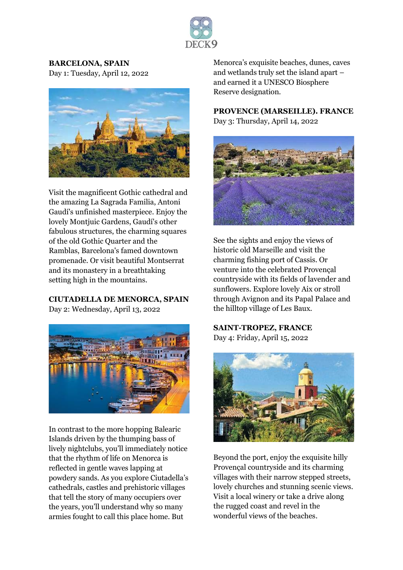

#### **BARCELONA, SPAIN**

Day 1: Tuesday, April 12, 2022



Visit the magnificent Gothic cathedral and the amazing La Sagrada Familia, Antoni Gaudí's unfinished masterpiece. Enjoy the lovely Montjuic Gardens, Gaudí's other fabulous structures, the charming squares of the old Gothic Quarter and the Ramblas, Barcelona's famed downtown promenade. Or visit beautiful Montserrat and its monastery in a breathtaking setting high in the mountains.

#### **CIUTADELLA DE MENORCA, SPAIN**

Day 2: Wednesday, April 13, 2022



In contrast to the more hopping Balearic Islands driven by the thumping bass of lively nightclubs, you'll immediately notice that the rhythm of life on Menorca is reflected in gentle waves lapping at powdery sands. As you explore Ciutadella's cathedrals, castles and prehistoric villages that tell the story of many occupiers over the years, you'll understand why so many armies fought to call this place home. But

Menorca's exquisite beaches, dunes, caves and wetlands truly set the island apart – and earned it a UNESCO Biosphere Reserve designation.

# **PROVENCE (MARSEILLE). FRANCE**

Day 3: Thursday, April 14, 2022



See the sights and enjoy the views of historic old Marseille and visit the charming fishing port of Cassis. Or venture into the celebrated Provençal countryside with its fields of lavender and sunflowers. Explore lovely Aix or stroll through Avignon and its Papal Palace and the hilltop village of Les Baux.

**SAINT-TROPEZ, FRANCE** Day 4: Friday, April 15, 2022



Beyond the port, enjoy the exquisite hilly Provençal countryside and its charming villages with their narrow stepped streets, lovely churches and stunning scenic views. Visit a local winery or take a drive along the rugged coast and revel in the wonderful views of the beaches.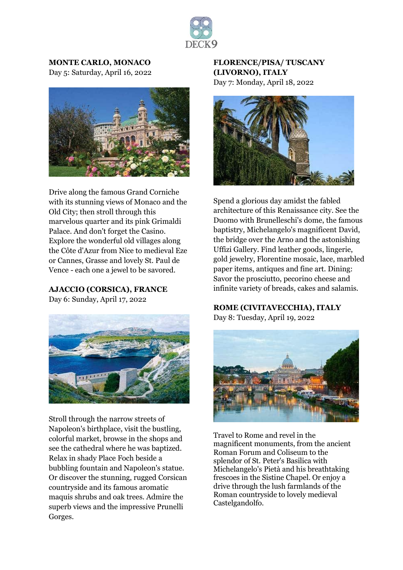

# **MONTE CARLO, MONACO**

Day 5: Saturday, April 16, 2022



Drive along the famous Grand Corniche with its stunning views of Monaco and the Old City; then stroll through this marvelous quarter and its pink Grimaldi Palace. And don't forget the Casino. Explore the wonderful old villages along the Côte d'Azur from Nice to medieval Eze or Cannes, Grasse and lovely St. Paul de Vence - each one a jewel to be savored.

**AJACCIO (CORSICA), FRANCE** Day 6: Sunday, April 17, 2022



Stroll through the narrow streets of Napoleon's birthplace, visit the bustling, colorful market, browse in the shops and see the cathedral where he was baptized. Relax in shady Place Foch beside a bubbling fountain and Napoleon's statue. Or discover the stunning, rugged Corsican countryside and its famous aromatic maquis shrubs and oak trees. Admire the superb views and the impressive Prunelli Gorges.

### **FLORENCE/PISA/ TUSCANY (LIVORNO), ITALY**

Day 7: Monday, April 18, 2022



Spend a glorious day amidst the fabled architecture of this Renaissance city. See the Duomo with Brunelleschi's dome, the famous baptistry, Michelangelo's magnificent David, the bridge over the Arno and the astonishing Uffizi Gallery. Find leather goods, lingerie, gold jewelry, Florentine mosaic, lace, marbled paper items, antiques and fine art. Dining: Savor the prosciutto, pecorino cheese and infinite variety of breads, cakes and salamis.

#### **ROME (CIVITAVECCHIA), ITALY**

Day 8: Tuesday, April 19, 2022



Travel to Rome and revel in the magnificent monuments, from the ancient Roman Forum and Coliseum to the splendor of St. Peter's Basilica with Michelangelo's Pietà and his breathtaking frescoes in the Sistine Chapel. Or enjoy a drive through the lush farmlands of the Roman countryside to lovely medieval Castelgandolfo.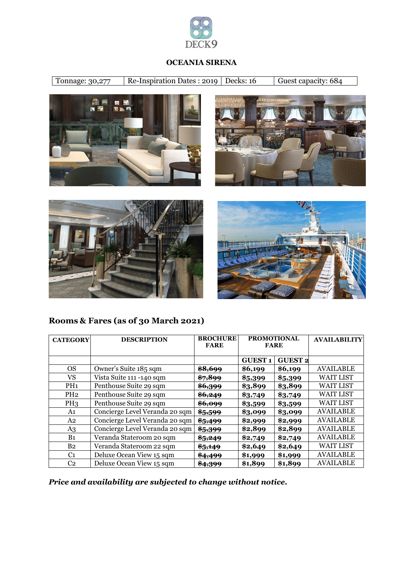

#### **OCEANIA SIRENA**

Tonnage: 30,277 Re-Inspiration Dates : 2019 Decks: 16 Guest capacity: 684









**Rooms & Fares (as of 30 March 2021)**

| <b>CATEGORY</b> | <b>DESCRIPTION</b>             | <b>BROCHURE</b><br><b>FARE</b> | <b>PROMOTIONAL</b><br><b>FARE</b> |                | <b>AVAILABILITY</b> |
|-----------------|--------------------------------|--------------------------------|-----------------------------------|----------------|---------------------|
|                 |                                |                                |                                   |                |                     |
|                 |                                |                                | <b>GUEST1</b>                     | <b>GUEST 2</b> |                     |
| <b>OS</b>       | Owner's Suite 185 sqm          | \$8,699                        | \$6,199                           | \$6,199        | <b>AVAILABLE</b>    |
| VS              | Vista Suite 111 -140 sqm       | \$7,899                        | \$5,399                           | \$5,399        | <b>WAIT LIST</b>    |
| PH <sub>1</sub> | Penthouse Suite 29 sqm         | \$6,399                        | \$3,899                           | \$3,899        | <b>WAIT LIST</b>    |
| PH2             | Penthouse Suite 29 sqm         | \$6,249                        | \$3,749                           | \$3,749        | <b>WAIT LIST</b>    |
| PH <sub>3</sub> | Penthouse Suite 29 sqm         | \$6,099                        | \$3,599                           | \$3,599        | <b>WAIT LIST</b>    |
| A1              | Concierge Level Veranda 20 sqm | \$5,599                        | \$3,099                           | \$3,099        | <b>AVAILABLE</b>    |
| A <sub>2</sub>  | Concierge Level Veranda 20 sqm | \$5,499                        | \$2,999                           | \$2,999        | <b>AVAILABLE</b>    |
| A3              | Concierge Level Veranda 20 sqm | \$5,399                        | \$2,899                           | \$2,899        | <b>AVAILABLE</b>    |
| B <sub>1</sub>  | Veranda Stateroom 20 sqm       | \$5,249                        | \$2,749                           | \$2,749        | <b>AVAILABLE</b>    |
| B <sub>2</sub>  | Veranda Stateroom 22 sqm       | $\frac{6}{5,149}$              | \$2,649                           | \$2,649        | <b>WAIT LIST</b>    |
| C <sub>1</sub>  | Deluxe Ocean View 15 sqm       | <del>\$4,499</del>             | \$1,999                           | \$1,999        | <b>AVAILABLE</b>    |
| C <sub>2</sub>  | Deluxe Ocean View 15 sqm       | \$4,399                        | \$1,899                           | \$1,899        | <b>AVAILABLE</b>    |

*Price and availability are subjected to change without notice.*